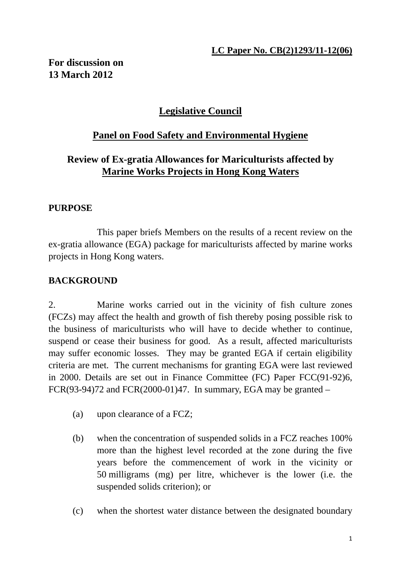**For discussion on 13 March 2012** 

## **Legislative Council**

## **Panel on Food Safety and Environmental Hygiene**

## **Review of Ex-gratia Allowances for Mariculturists affected by Marine Works Projects in Hong Kong Waters**

#### **PURPOSE**

 This paper briefs Members on the results of a recent review on the ex-gratia allowance (EGA) package for mariculturists affected by marine works projects in Hong Kong waters.

#### **BACKGROUND**

2. Marine works carried out in the vicinity of fish culture zones (FCZs) may affect the health and growth of fish thereby posing possible risk to the business of mariculturists who will have to decide whether to continue, suspend or cease their business for good. As a result, affected mariculturists may suffer economic losses. They may be granted EGA if certain eligibility criteria are met. The current mechanisms for granting EGA were last reviewed in 2000. Details are set out in Finance Committee (FC) Paper FCC(91-92)6,  $FCR(93-94)72$  and  $FCR(2000-01)47$ . In summary, EGA may be granted –

- (a) upon clearance of a FCZ;
- (b) when the concentration of suspended solids in a FCZ reaches 100% more than the highest level recorded at the zone during the five years before the commencement of work in the vicinity or 50 milligrams (mg) per litre, whichever is the lower (i.e. the suspended solids criterion); or
- (c) when the shortest water distance between the designated boundary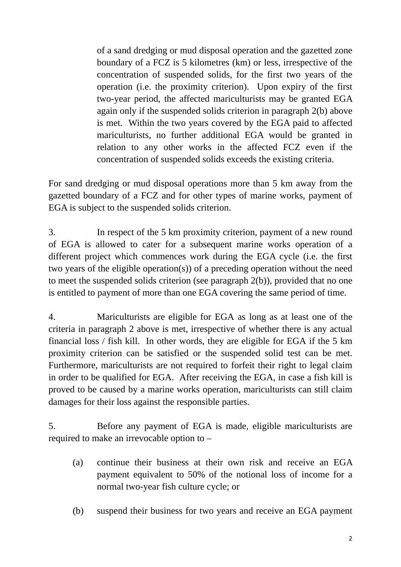of a sand dredging or mud disposal operation and the gazetted zone boundary of a FCZ is 5 kilometres (km) or less, irrespective of the concentration of suspended solids, for the first two years of the operation (i.e. the proximity criterion). Upon expiry of the first two-year period, the affected mariculturists may be granted EGA again only if the suspended solids criterion in paragraph 2(b) above is met. Within the two years covered by the EGA paid to affected mariculturists, no further additional EGA would be granted in relation to any other works in the affected FCZ even if the concentration of suspended solids exceeds the existing criteria.

For sand dredging or mud disposal operations more than 5 km away from the gazetted boundary of a FCZ and for other types of marine works, payment of EGA is subject to the suspended solids criterion.

3. In respect of the 5 km proximity criterion, payment of a new round of EGA is allowed to cater for a subsequent marine works operation of a different project which commences work during the EGA cycle (i.e. the first two years of the eligible operation(s)) of a preceding operation without the need to meet the suspended solids criterion (see paragraph 2(b)), provided that no one is entitled to payment of more than one EGA covering the same period of time.

4. Mariculturists are eligible for EGA as long as at least one of the criteria in paragraph 2 above is met, irrespective of whether there is any actual financial loss / fish kill. In other words, they are eligible for EGA if the 5 km proximity criterion can be satisfied or the suspended solid test can be met. Furthermore, mariculturists are not required to forfeit their right to legal claim in order to be qualified for EGA. After receiving the EGA, in case a fish kill is proved to be caused by a marine works operation, mariculturists can still claim damages for their loss against the responsible parties.

5. Before any payment of EGA is made, eligible mariculturists are required to make an irrevocable option to –

- (a) continue their business at their own risk and receive an EGA payment equivalent to 50% of the notional loss of income for a normal two-year fish culture cycle; or
- (b) suspend their business for two years and receive an EGA payment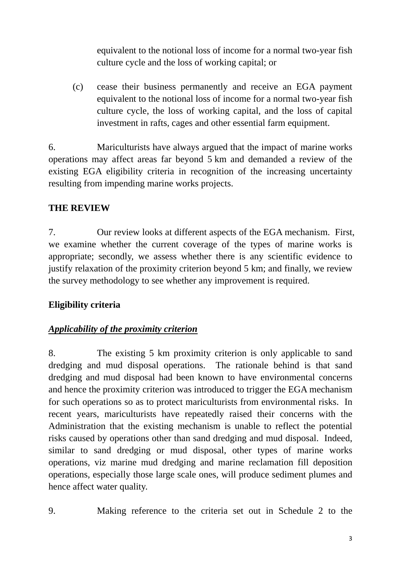equivalent to the notional loss of income for a normal two-year fish culture cycle and the loss of working capital; or

(c) cease their business permanently and receive an EGA payment equivalent to the notional loss of income for a normal two-year fish culture cycle, the loss of working capital, and the loss of capital investment in rafts, cages and other essential farm equipment.

6. Mariculturists have always argued that the impact of marine works operations may affect areas far beyond 5 km and demanded a review of the existing EGA eligibility criteria in recognition of the increasing uncertainty resulting from impending marine works projects.

### **THE REVIEW**

7. Our review looks at different aspects of the EGA mechanism. First, we examine whether the current coverage of the types of marine works is appropriate; secondly, we assess whether there is any scientific evidence to justify relaxation of the proximity criterion beyond 5 km; and finally, we review the survey methodology to see whether any improvement is required.

## **Eligibility criteria**

### *Applicability of the proximity criterion*

8. The existing 5 km proximity criterion is only applicable to sand dredging and mud disposal operations. The rationale behind is that sand dredging and mud disposal had been known to have environmental concerns and hence the proximity criterion was introduced to trigger the EGA mechanism for such operations so as to protect mariculturists from environmental risks. In recent years, mariculturists have repeatedly raised their concerns with the Administration that the existing mechanism is unable to reflect the potential risks caused by operations other than sand dredging and mud disposal. Indeed, similar to sand dredging or mud disposal, other types of marine works operations, viz marine mud dredging and marine reclamation fill deposition operations, especially those large scale ones, will produce sediment plumes and hence affect water quality.

9. Making reference to the criteria set out in Schedule 2 to the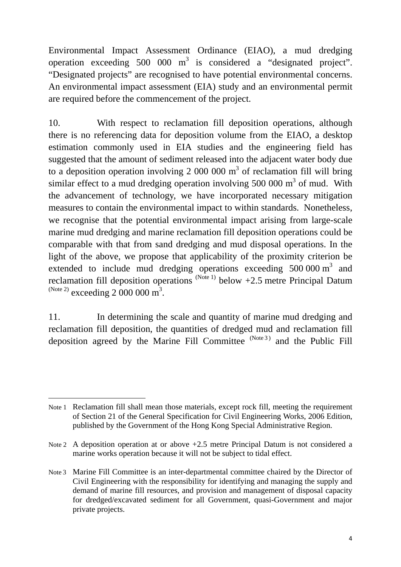Environmental Impact Assessment Ordinance (EIAO), a mud dredging operation exceeding  $500\,000\,m^3$  is considered a "designated project". "Designated projects" are recognised to have potential environmental concerns. An environmental impact assessment (EIA) study and an environmental permit are required before the commencement of the project.

10. With respect to reclamation fill deposition operations, although there is no referencing data for deposition volume from the EIAO, a desktop estimation commonly used in EIA studies and the engineering field has suggested that the amount of sediment released into the adjacent water body due to a deposition operation involving 2 000 000  $m<sup>3</sup>$  of reclamation fill will bring similar effect to a mud dredging operation involving  $500\ 000\ \text{m}^3$  of mud. With the advancement of technology, we have incorporated necessary mitigation measures to contain the environmental impact to within standards. Nonetheless, we recognise that the potential environmental impact arising from large-scale marine mud dredging and marine reclamation fill deposition operations could be comparable with that from sand dredging and mud disposal operations. In the light of the above, we propose that applicability of the proximity criterion be extended to include mud dredging operations exceeding  $500\,000\,\mathrm{m}^3$  and reclamation fill deposition operations  $(N^{(Note 1)}$  below  $+2.5$  metre Principal Datum <sup>(Note 2)</sup> exceeding 2 000 000  $\text{m}^3$ .

11. In determining the scale and quantity of marine mud dredging and reclamation fill deposition, the quantities of dredged mud and reclamation fill deposition agreed by the Marine Fill Committee (Note 3) and the Public Fill

 Note 1 Reclamation fill shall mean those materials, except rock fill, meeting the requirement of Section 21 of the General Specification for Civil Engineering Works, 2006 Edition, published by the Government of the Hong Kong Special Administrative Region.

Note 2 A deposition operation at or above  $+2.5$  metre Principal Datum is not considered a marine works operation because it will not be subject to tidal effect.

Note 3 Marine Fill Committee is an inter-departmental committee chaired by the Director of Civil Engineering with the responsibility for identifying and managing the supply and demand of marine fill resources, and provision and management of disposal capacity for dredged/excavated sediment for all Government, quasi-Government and major private projects.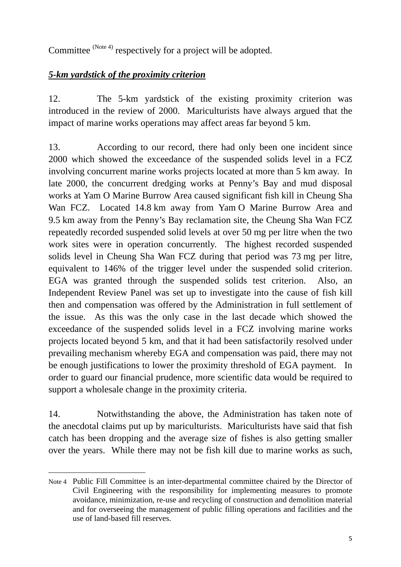Committee <sup>(Note 4)</sup> respectively for a project will be adopted.

## *5-km yardstick of the proximity criterion*

12. The 5-km yardstick of the existing proximity criterion was introduced in the review of 2000. Mariculturists have always argued that the impact of marine works operations may affect areas far beyond 5 km.

13. According to our record, there had only been one incident since 2000 which showed the exceedance of the suspended solids level in a FCZ involving concurrent marine works projects located at more than 5 km away. In late 2000, the concurrent dredging works at Penny's Bay and mud disposal works at Yam O Marine Burrow Area caused significant fish kill in Cheung Sha Wan FCZ. Located 14.8 km away from Yam O Marine Burrow Area and 9.5 km away from the Penny's Bay reclamation site, the Cheung Sha Wan FCZ repeatedly recorded suspended solid levels at over 50 mg per litre when the two work sites were in operation concurrently. The highest recorded suspended solids level in Cheung Sha Wan FCZ during that period was 73 mg per litre, equivalent to 146% of the trigger level under the suspended solid criterion. EGA was granted through the suspended solids test criterion. Also, an Independent Review Panel was set up to investigate into the cause of fish kill then and compensation was offered by the Administration in full settlement of the issue. As this was the only case in the last decade which showed the exceedance of the suspended solids level in a FCZ involving marine works projects located beyond 5 km, and that it had been satisfactorily resolved under prevailing mechanism whereby EGA and compensation was paid, there may not be enough justifications to lower the proximity threshold of EGA payment. In order to guard our financial prudence, more scientific data would be required to support a wholesale change in the proximity criteria.

14. Notwithstanding the above, the Administration has taken note of the anecdotal claims put up by mariculturists. Mariculturists have said that fish catch has been dropping and the average size of fishes is also getting smaller over the years. While there may not be fish kill due to marine works as such,

Note 4 Public Fill Committee is an inter-departmental committee chaired by the Director of Civil Engineering with the responsibility for implementing measures to promote avoidance, minimization, re-use and recycling of construction and demolition material and for overseeing the management of public filling operations and facilities and the use of land-based fill reserves.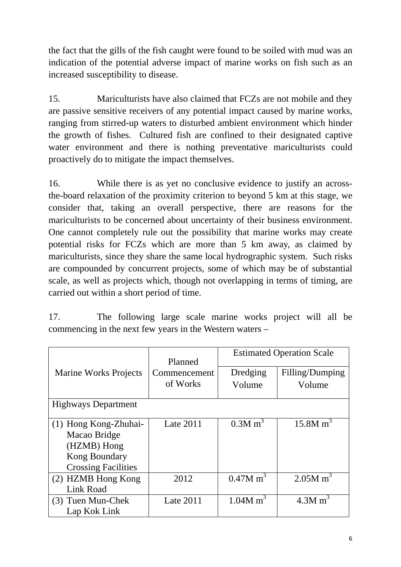the fact that the gills of the fish caught were found to be soiled with mud was an indication of the potential adverse impact of marine works on fish such as an increased susceptibility to disease.

15. Mariculturists have also claimed that FCZs are not mobile and they are passive sensitive receivers of any potential impact caused by marine works, ranging from stirred-up waters to disturbed ambient environment which hinder the growth of fishes. Cultured fish are confined to their designated captive water environment and there is nothing preventative mariculturists could proactively do to mitigate the impact themselves.

16. While there is as yet no conclusive evidence to justify an acrossthe-board relaxation of the proximity criterion to beyond 5 km at this stage, we consider that, taking an overall perspective, there are reasons for the mariculturists to be concerned about uncertainty of their business environment. One cannot completely rule out the possibility that marine works may create potential risks for FCZs which are more than 5 km away, as claimed by mariculturists, since they share the same local hydrographic system. Such risks are compounded by concurrent projects, some of which may be of substantial scale, as well as projects which, though not overlapping in terms of timing, are carried out within a short period of time.

17. The following large scale marine works project will all be commencing in the next few years in the Western waters –

|                                                                                                            | Planned<br>Commencement<br>of Works | <b>Estimated Operation Scale</b> |                           |
|------------------------------------------------------------------------------------------------------------|-------------------------------------|----------------------------------|---------------------------|
| <b>Marine Works Projects</b>                                                                               |                                     | Dredging<br>Volume               | Filling/Dumping<br>Volume |
| <b>Highways Department</b>                                                                                 |                                     |                                  |                           |
| (1) Hong Kong-Zhuhai-<br>Macao Bridge<br>(HZMB) Hong<br><b>Kong Boundary</b><br><b>Crossing Facilities</b> | Late 2011                           | 0.3M m <sup>3</sup>              | $15.8M \text{ m}^3$       |
| (2) HZMB Hong Kong<br>Link Road                                                                            | 2012                                | 0.47M m <sup>3</sup>             | $2.05M \text{ m}^3$       |
| (3) Tuen Mun-Chek<br>Lap Kok Link                                                                          | Late 2011                           | 1.04M m <sup>3</sup>             | 4.3M m <sup>3</sup>       |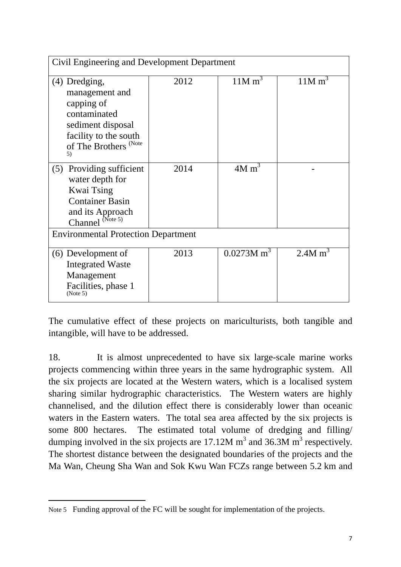| Civil Engineering and Development Department                                                                                                           |      |                        |                   |
|--------------------------------------------------------------------------------------------------------------------------------------------------------|------|------------------------|-------------------|
| (4) Dredging,<br>management and<br>capping of<br>contaminated<br>sediment disposal<br>facility to the south<br>of The Brothers <sup>(Note)</sup><br>5) | 2012 | 11M m <sup>3</sup>     | $11M \text{ m}^3$ |
| Providing sufficient<br>(5)<br>water depth for<br>Kwai Tsing<br><b>Container Basin</b><br>and its Approach<br>Channel <sup>(Note 5)</sup>              | 2014 | $4M \text{ m}^3$       |                   |
| <b>Environmental Protection Department</b>                                                                                                             |      |                        |                   |
| (6) Development of<br><b>Integrated Waste</b><br>Management<br>Facilities, phase 1<br>(Note 5)                                                         | 2013 | 0.0273M m <sup>3</sup> | 2.4M $m3$         |

The cumulative effect of these projects on mariculturists, both tangible and intangible, will have to be addressed.

18. It is almost unprecedented to have six large-scale marine works projects commencing within three years in the same hydrographic system. All the six projects are located at the Western waters, which is a localised system sharing similar hydrographic characteristics. The Western waters are highly channelised, and the dilution effect there is considerably lower than oceanic waters in the Eastern waters. The total sea area affected by the six projects is some 800 hectares. The estimated total volume of dredging and filling/ dumping involved in the six projects are  $17.12M$  m<sup>3</sup> and  $36.3M$  m<sup>3</sup> respectively. The shortest distance between the designated boundaries of the projects and the Ma Wan, Cheung Sha Wan and Sok Kwu Wan FCZs range between 5.2 km and

Note 5 Funding approval of the FC will be sought for implementation of the projects.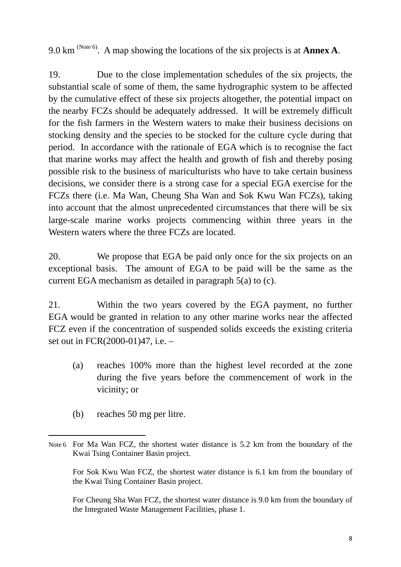9.0 km (Note 6). A map showing the locations of the six projects is at **Annex A**.

19. Due to the close implementation schedules of the six projects, the substantial scale of some of them, the same hydrographic system to be affected by the cumulative effect of these six projects altogether, the potential impact on the nearby FCZs should be adequately addressed. It will be extremely difficult for the fish farmers in the Western waters to make their business decisions on stocking density and the species to be stocked for the culture cycle during that period. In accordance with the rationale of EGA which is to recognise the fact that marine works may affect the health and growth of fish and thereby posing possible risk to the business of mariculturists who have to take certain business decisions, we consider there is a strong case for a special EGA exercise for the FCZs there (i.e. Ma Wan, Cheung Sha Wan and Sok Kwu Wan FCZs), taking into account that the almost unprecedented circumstances that there will be six large-scale marine works projects commencing within three years in the Western waters where the three FCZs are located.

20. We propose that EGA be paid only once for the six projects on an exceptional basis. The amount of EGA to be paid will be the same as the current EGA mechanism as detailed in paragraph 5(a) to (c).

21. Within the two years covered by the EGA payment, no further EGA would be granted in relation to any other marine works near the affected FCZ even if the concentration of suspended solids exceeds the existing criteria set out in FCR(2000-01)47, i.e. –

- (a) reaches 100% more than the highest level recorded at the zone during the five years before the commencement of work in the vicinity; or
- (b) reaches 50 mg per litre.

 For Sok Kwu Wan FCZ, the shortest water distance is 6.1 km from the boundary of the Kwai Tsing Container Basin project.

 For Cheung Sha Wan FCZ, the shortest water distance is 9.0 km from the boundary of the Integrated Waste Management Facilities, phase 1.

Note 6 For Ma Wan FCZ, the shortest water distance is 5.2 km from the boundary of the Kwai Tsing Container Basin project.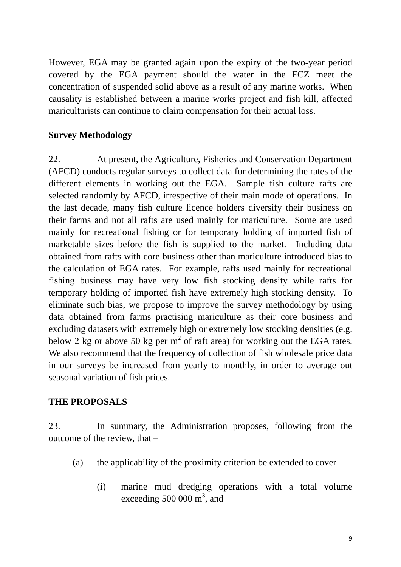However, EGA may be granted again upon the expiry of the two-year period covered by the EGA payment should the water in the FCZ meet the concentration of suspended solid above as a result of any marine works. When causality is established between a marine works project and fish kill, affected mariculturists can continue to claim compensation for their actual loss.

#### **Survey Methodology**

22. At present, the Agriculture, Fisheries and Conservation Department (AFCD) conducts regular surveys to collect data for determining the rates of the different elements in working out the EGA. Sample fish culture rafts are selected randomly by AFCD, irrespective of their main mode of operations. In the last decade, many fish culture licence holders diversify their business on their farms and not all rafts are used mainly for mariculture. Some are used mainly for recreational fishing or for temporary holding of imported fish of marketable sizes before the fish is supplied to the market. Including data obtained from rafts with core business other than mariculture introduced bias to the calculation of EGA rates. For example, rafts used mainly for recreational fishing business may have very low fish stocking density while rafts for temporary holding of imported fish have extremely high stocking density. To eliminate such bias, we propose to improve the survey methodology by using data obtained from farms practising mariculture as their core business and excluding datasets with extremely high or extremely low stocking densities (e.g. below 2 kg or above 50 kg per  $m^2$  of raft area) for working out the EGA rates. We also recommend that the frequency of collection of fish wholesale price data in our surveys be increased from yearly to monthly, in order to average out seasonal variation of fish prices.

### **THE PROPOSALS**

23. In summary, the Administration proposes, following from the outcome of the review, that –

- (a) the applicability of the proximity criterion be extended to cover
	- (i) marine mud dredging operations with a total volume exceeding 500 000  $m^3$ , and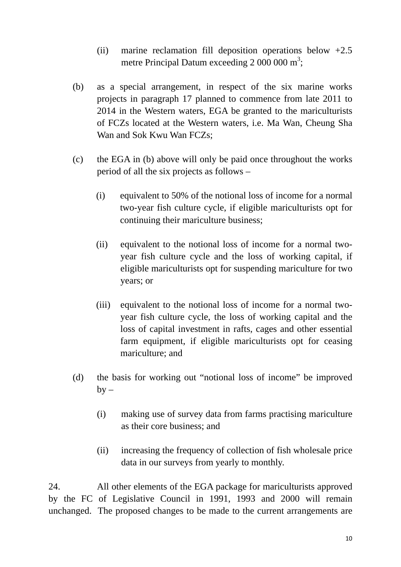- (ii) marine reclamation fill deposition operations below  $+2.5$ metre Principal Datum exceeding  $2000000 \text{ m}^3$ ;
- (b) as a special arrangement, in respect of the six marine works projects in paragraph 17 planned to commence from late 2011 to 2014 in the Western waters, EGA be granted to the mariculturists of FCZs located at the Western waters, i.e. Ma Wan, Cheung Sha Wan and Sok Kwu Wan FCZs;
- (c) the EGA in (b) above will only be paid once throughout the works period of all the six projects as follows –
	- (i) equivalent to 50% of the notional loss of income for a normal two-year fish culture cycle, if eligible mariculturists opt for continuing their mariculture business;
	- (ii) equivalent to the notional loss of income for a normal twoyear fish culture cycle and the loss of working capital, if eligible mariculturists opt for suspending mariculture for two years; or
	- (iii) equivalent to the notional loss of income for a normal twoyear fish culture cycle, the loss of working capital and the loss of capital investment in rafts, cages and other essential farm equipment, if eligible mariculturists opt for ceasing mariculture; and
- (d) the basis for working out "notional loss of income" be improved  $by -$ 
	- (i) making use of survey data from farms practising mariculture as their core business; and
	- (ii) increasing the frequency of collection of fish wholesale price data in our surveys from yearly to monthly.

24. All other elements of the EGA package for mariculturists approved by the FC of Legislative Council in 1991, 1993 and 2000 will remain unchanged. The proposed changes to be made to the current arrangements are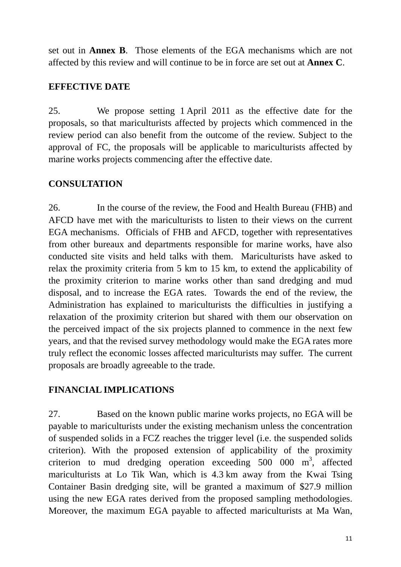set out in **Annex B**. Those elements of the EGA mechanisms which are not affected by this review and will continue to be in force are set out at **Annex C**.

## **EFFECTIVE DATE**

25. We propose setting 1 April 2011 as the effective date for the proposals, so that mariculturists affected by projects which commenced in the review period can also benefit from the outcome of the review. Subject to the approval of FC, the proposals will be applicable to mariculturists affected by marine works projects commencing after the effective date.

## **CONSULTATION**

26. In the course of the review, the Food and Health Bureau (FHB) and AFCD have met with the mariculturists to listen to their views on the current EGA mechanisms. Officials of FHB and AFCD, together with representatives from other bureaux and departments responsible for marine works, have also conducted site visits and held talks with them. Mariculturists have asked to relax the proximity criteria from 5 km to 15 km, to extend the applicability of the proximity criterion to marine works other than sand dredging and mud disposal, and to increase the EGA rates. Towards the end of the review, the Administration has explained to mariculturists the difficulties in justifying a relaxation of the proximity criterion but shared with them our observation on the perceived impact of the six projects planned to commence in the next few years, and that the revised survey methodology would make the EGA rates more truly reflect the economic losses affected mariculturists may suffer. The current proposals are broadly agreeable to the trade.

## **FINANCIAL IMPLICATIONS**

27. Based on the known public marine works projects, no EGA will be payable to mariculturists under the existing mechanism unless the concentration of suspended solids in a FCZ reaches the trigger level (i.e. the suspended solids criterion). With the proposed extension of applicability of the proximity criterion to mud dredging operation exceeding  $500\,000\,$  m<sup>3</sup>, affected mariculturists at Lo Tik Wan, which is 4.3 km away from the Kwai Tsing Container Basin dredging site, will be granted a maximum of \$27.9 million using the new EGA rates derived from the proposed sampling methodologies. Moreover, the maximum EGA payable to affected mariculturists at Ma Wan,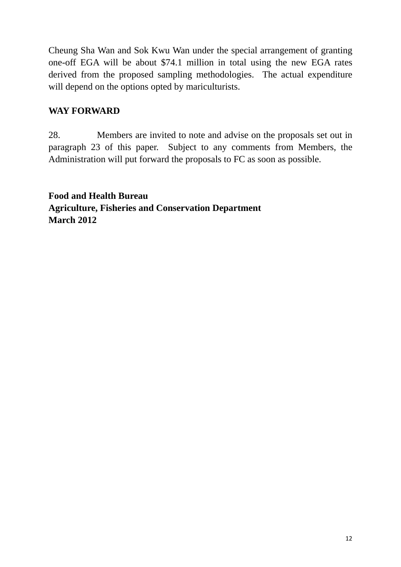Cheung Sha Wan and Sok Kwu Wan under the special arrangement of granting one-off EGA will be about \$74.1 million in total using the new EGA rates derived from the proposed sampling methodologies. The actual expenditure will depend on the options opted by mariculturists.

### **WAY FORWARD**

28. Members are invited to note and advise on the proposals set out in paragraph 23 of this paper. Subject to any comments from Members, the Administration will put forward the proposals to FC as soon as possible.

**Food and Health Bureau Agriculture, Fisheries and Conservation Department March 2012**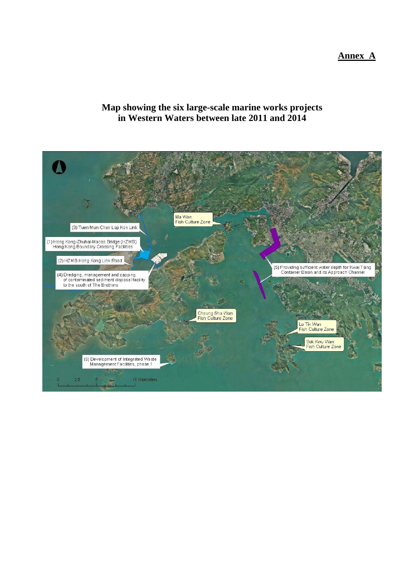**Annex A**

#### **Map showing the six large-scale marine works projects in Western Waters between late 2011 and 2014**

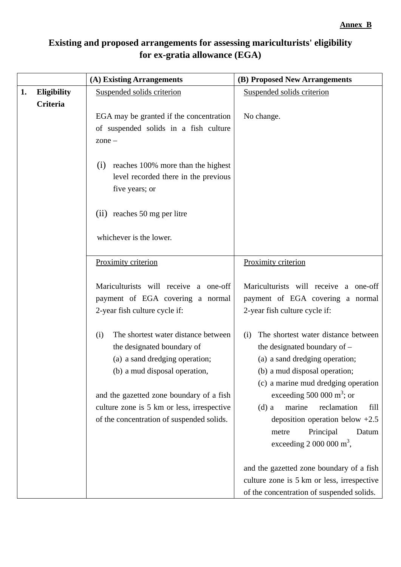|    |                    | (A) Existing Arrangements                                                                                                                                                                                                                                                          | (B) Proposed New Arrangements                                                                                                                                                                                                                                                                                                        |
|----|--------------------|------------------------------------------------------------------------------------------------------------------------------------------------------------------------------------------------------------------------------------------------------------------------------------|--------------------------------------------------------------------------------------------------------------------------------------------------------------------------------------------------------------------------------------------------------------------------------------------------------------------------------------|
| 1. | <b>Eligibility</b> | Suspended solids criterion                                                                                                                                                                                                                                                         | Suspended solids criterion                                                                                                                                                                                                                                                                                                           |
|    | Criteria           | EGA may be granted if the concentration<br>of suspended solids in a fish culture<br>$zone -$                                                                                                                                                                                       | No change.                                                                                                                                                                                                                                                                                                                           |
|    |                    | reaches 100% more than the highest<br>(1)<br>level recorded there in the previous<br>five years; or                                                                                                                                                                                |                                                                                                                                                                                                                                                                                                                                      |
|    |                    | (ii) reaches 50 mg per litre                                                                                                                                                                                                                                                       |                                                                                                                                                                                                                                                                                                                                      |
|    |                    | whichever is the lower.                                                                                                                                                                                                                                                            |                                                                                                                                                                                                                                                                                                                                      |
|    |                    | Proximity criterion                                                                                                                                                                                                                                                                | Proximity criterion                                                                                                                                                                                                                                                                                                                  |
|    |                    | Mariculturists will receive a one-off<br>payment of EGA covering a normal<br>2-year fish culture cycle if:                                                                                                                                                                         | Mariculturists will receive a one-off<br>payment of EGA covering a normal<br>2-year fish culture cycle if:                                                                                                                                                                                                                           |
|    |                    | The shortest water distance between<br>(i)<br>the designated boundary of<br>(a) a sand dredging operation;<br>(b) a mud disposal operation,<br>and the gazetted zone boundary of a fish<br>culture zone is 5 km or less, irrespective<br>of the concentration of suspended solids. | The shortest water distance between<br>(i)<br>the designated boundary of -<br>(a) a sand dredging operation;<br>(b) a mud disposal operation;<br>(c) a marine mud dredging operation<br>exceeding 500 000 $m^3$ ; or<br>reclamation<br>marine<br>$(d)$ a<br>fill<br>deposition operation below $+2.5$<br>Principal<br>Datum<br>metre |
|    |                    |                                                                                                                                                                                                                                                                                    | exceeding $2000000 \text{ m}^3$ ,<br>and the gazetted zone boundary of a fish<br>culture zone is 5 km or less, irrespective<br>of the concentration of suspended solids.                                                                                                                                                             |

## **Existing and proposed arrangements for assessing mariculturists' eligibility for ex-gratia allowance (EGA)**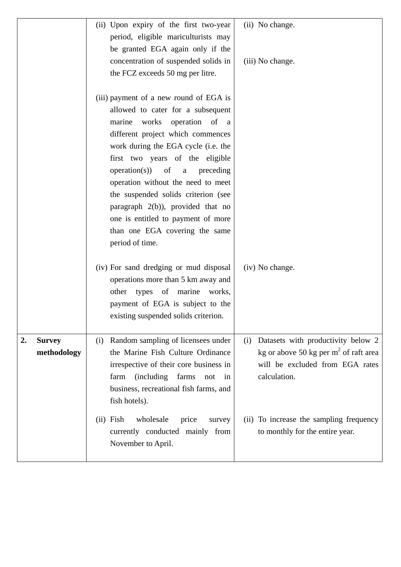|                                    | (ii) Upon expiry of the first two-year<br>period, eligible mariculturists may<br>be granted EGA again only if the<br>concentration of suspended solids in<br>the FCZ exceeds 50 mg per litre.<br>(iii) payment of a new round of EGA is<br>allowed to cater for a subsequent<br>works operation of a<br>marine                                                                  | (ii) No change.<br>(iii) No change.                                                                                                     |
|------------------------------------|---------------------------------------------------------------------------------------------------------------------------------------------------------------------------------------------------------------------------------------------------------------------------------------------------------------------------------------------------------------------------------|-----------------------------------------------------------------------------------------------------------------------------------------|
|                                    | different project which commences<br>work during the EGA cycle (i.e. the<br>first two years of the eligible<br>operation(s))<br>of<br>preceding<br>$\mathbf{a}$<br>operation without the need to meet<br>the suspended solids criterion (see<br>paragraph $2(b)$ ), provided that no<br>one is entitled to payment of more<br>than one EGA covering the same<br>period of time. |                                                                                                                                         |
|                                    | (iv) For sand dredging or mud disposal<br>operations more than 5 km away and<br>other types of marine<br>works,<br>payment of EGA is subject to the<br>existing suspended solids criterion.                                                                                                                                                                                     | (iv) No change.                                                                                                                         |
| <b>Survey</b><br>2.<br>methodology | Random sampling of licensees under<br>(i)<br>the Marine Fish Culture Ordinance<br>irrespective of their core business in<br>farms<br><i>(including)</i><br>farm<br>not<br>in<br>business, recreational fish farms, and<br>fish hotels).                                                                                                                                         | Datasets with productivity below 2<br>(i)<br>kg or above 50 kg per $m2$ of raft area<br>will be excluded from EGA rates<br>calculation. |
|                                    | wholesale<br>Fish<br>price<br>survey<br>(i)<br>currently conducted mainly from<br>November to April.                                                                                                                                                                                                                                                                            | (ii) To increase the sampling frequency<br>to monthly for the entire year.                                                              |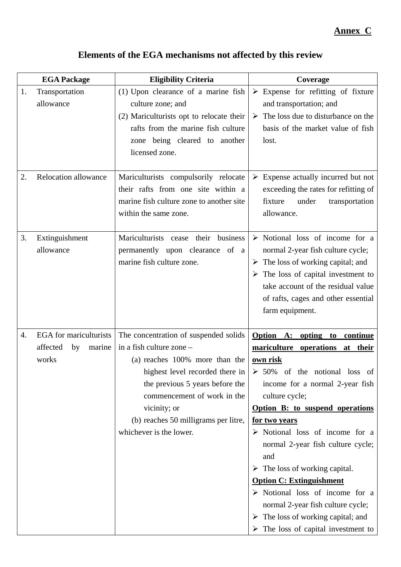# **Annex C**

|    | <b>EGA Package</b>                                 | <b>Eligibility Criteria</b>                                       | Coverage                                                                     |
|----|----------------------------------------------------|-------------------------------------------------------------------|------------------------------------------------------------------------------|
| 1. | Transportation<br>allowance                        | (1) Upon clearance of a marine fish<br>culture zone; and          | $\triangleright$ Expense for refitting of fixture<br>and transportation; and |
|    |                                                    | (2) Mariculturists opt to relocate their                          | $\triangleright$ The loss due to disturbance on the                          |
|    |                                                    | rafts from the marine fish culture                                | basis of the market value of fish                                            |
|    |                                                    | zone being cleared to another                                     | lost.                                                                        |
|    |                                                    | licensed zone.                                                    |                                                                              |
|    |                                                    |                                                                   |                                                                              |
| 2. | Relocation allowance                               | Mariculturists compulsorily relocate                              | $\triangleright$ Expense actually incurred but not                           |
|    |                                                    | their rafts from one site within a                                | exceeding the rates for refitting of                                         |
|    |                                                    | marine fish culture zone to another site                          | fixture<br>under<br>transportation                                           |
|    |                                                    | within the same zone.                                             | allowance.                                                                   |
|    |                                                    |                                                                   |                                                                              |
| 3. | Extinguishment                                     | Mariculturists cease their business                               | $\triangleright$ Notional loss of income for a                               |
|    | allowance                                          | permanently upon clearance of a                                   | normal 2-year fish culture cycle;                                            |
|    |                                                    | marine fish culture zone.                                         | $\triangleright$ The loss of working capital; and                            |
|    |                                                    |                                                                   | The loss of capital investment to<br>➤                                       |
|    |                                                    |                                                                   | take account of the residual value                                           |
|    |                                                    |                                                                   | of rafts, cages and other essential                                          |
|    |                                                    |                                                                   | farm equipment.                                                              |
|    |                                                    |                                                                   |                                                                              |
| 4. | EGA for mariculturists<br>affected<br>by<br>marine | The concentration of suspended solids<br>in a fish culture zone - | Option A:<br>opting<br>to<br>continue                                        |
|    | works                                              | (a) reaches 100% more than the                                    | mariculture operations<br><u>at their</u><br><u>own risk</u>                 |
|    |                                                    |                                                                   | highest level recorded there in $\triangleright$ 50% of the notional loss of |
|    |                                                    | the previous 5 years before the                                   | income for a normal 2-year fish                                              |
|    |                                                    | commencement of work in the                                       | culture cycle;                                                               |
|    |                                                    | vicinity; or                                                      | <b>Option B: to suspend operations</b>                                       |
|    |                                                    | (b) reaches 50 milligrams per litre,                              | for two years                                                                |
|    |                                                    | whichever is the lower.                                           | $\triangleright$ Notional loss of income for a                               |
|    |                                                    |                                                                   | normal 2-year fish culture cycle;                                            |
|    |                                                    |                                                                   | and                                                                          |
|    |                                                    |                                                                   | $\triangleright$ The loss of working capital.                                |
|    |                                                    |                                                                   | <b>Option C: Extinguishment</b>                                              |
|    |                                                    |                                                                   | $\triangleright$ Notional loss of income for a                               |
|    |                                                    |                                                                   | normal 2-year fish culture cycle;                                            |
|    |                                                    |                                                                   | $\triangleright$ The loss of working capital; and                            |
|    |                                                    |                                                                   | $\triangleright$ The loss of capital investment to                           |

# **Elements of the EGA mechanisms not affected by this review**